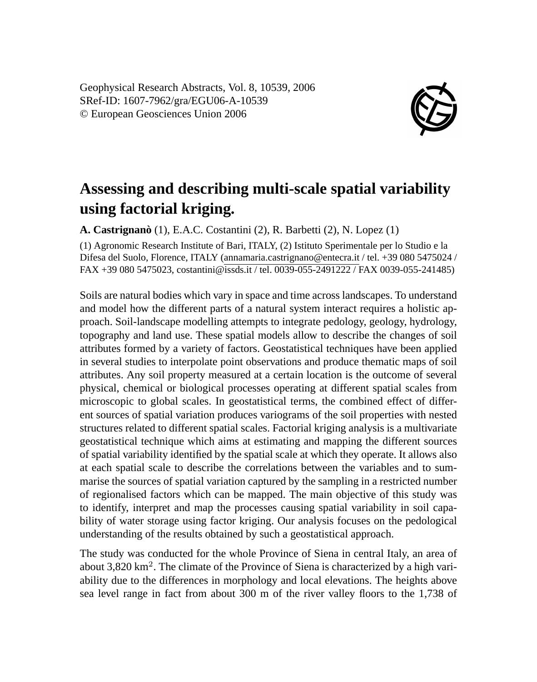Geophysical Research Abstracts, Vol. 8, 10539, 2006 SRef-ID: 1607-7962/gra/EGU06-A-10539 © European Geosciences Union 2006



## **Assessing and describing multi-scale spatial variability using factorial kriging.**

**A. Castrignanò** (1), E.A.C. Costantini (2), R. Barbetti (2), N. Lopez (1)

(1) Agronomic Research Institute of Bari, ITALY, (2) Istituto Sperimentale per lo Studio e la Difesa del Suolo, Florence, ITALY (annamaria.castrignano@entecra.it / tel. +39 080 5475024 / FAX +39 080 5475023, costantini@issds.it / tel. 0039-055-2491222 / FAX 0039-055-241485)

Soils are natural bodies which vary in space and time across landscapes. To understand and model how the different parts of a natural system interact requires a holistic approach. Soil-landscape modelling attempts to integrate pedology, geology, hydrology, topography and land use. These spatial models allow to describe the changes of soil attributes formed by a variety of factors. Geostatistical techniques have been applied in several studies to interpolate point observations and produce thematic maps of soil attributes. Any soil property measured at a certain location is the outcome of several physical, chemical or biological processes operating at different spatial scales from microscopic to global scales. In geostatistical terms, the combined effect of different sources of spatial variation produces variograms of the soil properties with nested structures related to different spatial scales. Factorial kriging analysis is a multivariate geostatistical technique which aims at estimating and mapping the different sources of spatial variability identified by the spatial scale at which they operate. It allows also at each spatial scale to describe the correlations between the variables and to summarise the sources of spatial variation captured by the sampling in a restricted number of regionalised factors which can be mapped. The main objective of this study was to identify, interpret and map the processes causing spatial variability in soil capability of water storage using factor kriging. Our analysis focuses on the pedological understanding of the results obtained by such a geostatistical approach.

The study was conducted for the whole Province of Siena in central Italy, an area of about 3,820 km<sup>2</sup>. The climate of the Province of Siena is characterized by a high variability due to the differences in morphology and local elevations. The heights above sea level range in fact from about 300 m of the river valley floors to the 1,738 of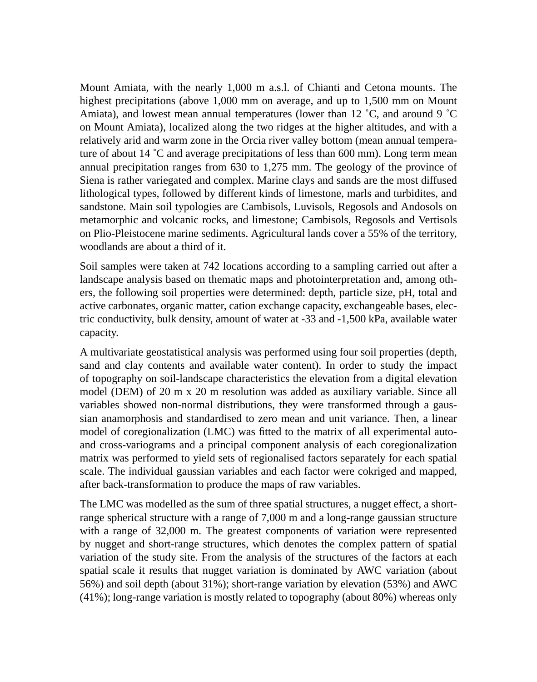Mount Amiata, with the nearly 1,000 m a.s.l. of Chianti and Cetona mounts. The highest precipitations (above 1,000 mm on average, and up to 1,500 mm on Mount Amiata), and lowest mean annual temperatures (lower than 12  $^{\circ}$ C, and around 9  $^{\circ}$ C on Mount Amiata), localized along the two ridges at the higher altitudes, and with a relatively arid and warm zone in the Orcia river valley bottom (mean annual temperature of about 14  $\degree$ C and average precipitations of less than 600 mm). Long term mean annual precipitation ranges from 630 to 1,275 mm. The geology of the province of Siena is rather variegated and complex. Marine clays and sands are the most diffused lithological types, followed by different kinds of limestone, marls and turbidites, and sandstone. Main soil typologies are Cambisols, Luvisols, Regosols and Andosols on metamorphic and volcanic rocks, and limestone; Cambisols, Regosols and Vertisols on Plio-Pleistocene marine sediments. Agricultural lands cover a 55% of the territory, woodlands are about a third of it.

Soil samples were taken at 742 locations according to a sampling carried out after a landscape analysis based on thematic maps and photointerpretation and, among others, the following soil properties were determined: depth, particle size, pH, total and active carbonates, organic matter, cation exchange capacity, exchangeable bases, electric conductivity, bulk density, amount of water at -33 and -1,500 kPa, available water capacity.

A multivariate geostatistical analysis was performed using four soil properties (depth, sand and clay contents and available water content). In order to study the impact of topography on soil-landscape characteristics the elevation from a digital elevation model (DEM) of 20 m x 20 m resolution was added as auxiliary variable. Since all variables showed non-normal distributions, they were transformed through a gaussian anamorphosis and standardised to zero mean and unit variance. Then, a linear model of coregionalization (LMC) was fitted to the matrix of all experimental autoand cross-variograms and a principal component analysis of each coregionalization matrix was performed to yield sets of regionalised factors separately for each spatial scale. The individual gaussian variables and each factor were cokriged and mapped, after back-transformation to produce the maps of raw variables.

The LMC was modelled as the sum of three spatial structures, a nugget effect, a shortrange spherical structure with a range of 7,000 m and a long-range gaussian structure with a range of 32,000 m. The greatest components of variation were represented by nugget and short-range structures, which denotes the complex pattern of spatial variation of the study site. From the analysis of the structures of the factors at each spatial scale it results that nugget variation is dominated by AWC variation (about 56%) and soil depth (about 31%); short-range variation by elevation (53%) and AWC (41%); long-range variation is mostly related to topography (about 80%) whereas only